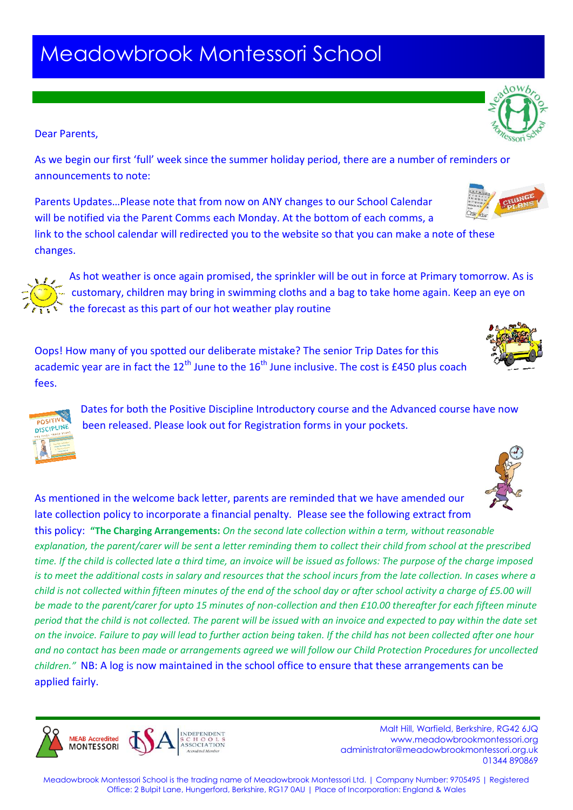## Meadowbrook Montessori School

## Dear Parents,

changes.

**DISCIPLINI** 

**MFAR Accredited MONTESSORI** 

As we begin our first 'full' week since the summer holiday period, there are a number of reminders or announcements to note:

Parents Updates…Please note that from now on ANY changes to our School Calendar will be notified via the Parent Comms each Monday. At the bottom of each comms, a link to the school calendar will redirected you to the website so that you can make a note of these

As hot weather is once again promised, the sprinkler will be out in force at Primary tomorrow. As is customary, children may bring in swimming cloths and a bag to take home again. Keep an eye on the forecast as this part of our hot weather play routine

Oops! How many of you spotted our deliberate mistake? The senior Trip Dates for this academic year are in fact the  $12<sup>th</sup>$  June to the  $16<sup>th</sup>$  June inclusive. The cost is £450 plus coach fees.

> Dates for both the Positive Discipline Introductory course and the Advanced course have now been released. Please look out for Registration forms in your pockets.

As mentioned in the welcome back letter, parents are reminded that we have amended our late collection policy to incorporate a financial penalty. Please see the following extract from this policy: **"The Charging Arrangements:** *On the second late collection within a term, without reasonable explanation, the parent/carer will be sent a letter reminding them to collect their child from school at the prescribed time. If the child is collected late a third time, an invoice will be issued as follows: The purpose of the charge imposed is to meet the additional costs in salary and resources that the school incurs from the late collection. In cases where a child is not collected within fifteen minutes of the end of the school day or after school activity a charge of £5.00 will be made to the parent/carer for upto 15 minutes of non-collection and then £10.00 thereafter for each fifteen minute period that the child is not collected. The parent will be issued with an invoice and expected to pay within the date set on the invoice. Failure to pay will lead to further action being taken. If the child has not been collected after one hour and no contact has been made or arrangements agreed we will follow our Child Protection Procedures for uncollected children."* NB: A log is now maintained in the school office to ensure that these arrangements can be applied fairly.







 Malt Hill, Warfield, Berkshire, RG42 6JQ www.meadowbrookmontessori.org

01344 890869